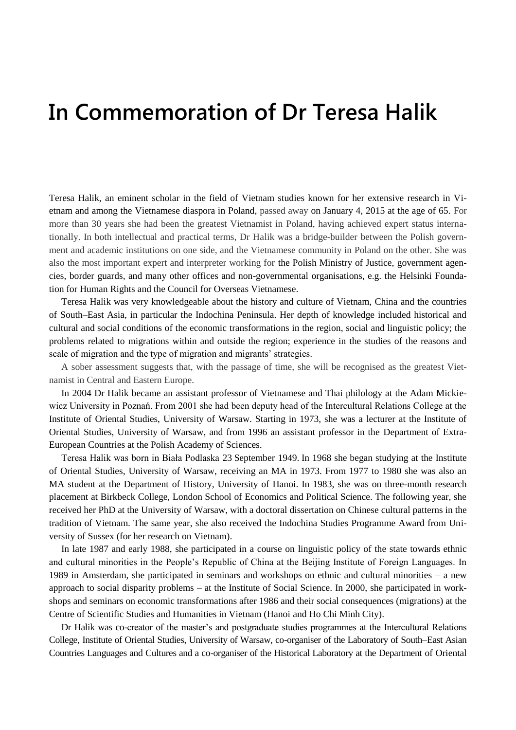## **In Commemoration of Dr Teresa Halik**

Teresa Halik, an eminent scholar in the field of Vietnam studies known for her extensive research in Vietnam and among the Vietnamese diaspora in Poland, passed away on January 4, 2015 at the age of 65. For more than 30 years she had been the greatest Vietnamist in Poland, having achieved expert status internationally. In both intellectual and practical terms, Dr Halik was a bridge-builder between the Polish government and academic institutions on one side, and the Vietnamese community in Poland on the other. She was also the most important expert and interpreter working for the Polish Ministry of Justice, government agencies, border guards, and many other offices and non-governmental organisations, e.g. the Helsinki Foundation for Human Rights and the Council for Overseas Vietnamese.

Teresa Halik was very knowledgeable about the history and culture of Vietnam, China and the countries of South–East Asia, in particular the Indochina Peninsula. Her depth of knowledge included historical and cultural and social conditions of the economic transformations in the region, social and linguistic policy; the problems related to migrations within and outside the region; experience in the studies of the reasons and scale of migration and the type of migration and migrants' strategies.

A sober assessment suggests that, with the passage of time, she will be recognised as the greatest Vietnamist in Central and Eastern Europe.

In 2004 Dr Halik became an assistant professor of Vietnamese and Thai philology at the Adam Mickiewicz University in Poznań. From 2001 she had been deputy head of the ntercultural Relations College at the Institute of Oriental Studies, University of Warsaw. Starting in 1973, she was a lecturer at the Institute of Oriental Studies, University of Warsaw, and from 1996 an assistant professor in the Department of Extra-European Countries at the Polish Academy of Sciences.

Teresa Halik was born in Biała Podlaska 23 September 1949. In 1968 she began studying at the Institute of Oriental Studies, University of Warsaw, receiving an MA in 1973. From 1977 to 1980 she was also an MA student at the Department of History, University of Hanoi. In 1983, she was on three-month research placement at Birkbeck College, London School of Economics and Political Science. The following year, she received her PhD at the University of Warsaw, with a doctoral dissertation on Chinese cultural patterns in the tradition of Vietnam. The same year, she also received the Indochina Studies Programme Award from University of Sussex (for her research on Vietnam).

In late 1987 and early 1988, she participated in a course on linguistic policy of the state towards ethnic and cultural minorities in the People's Republic of China at the Beijing Institute of Foreign Languages. In 1989 in Amsterdam, she participated in seminars and workshops on ethnic and cultural minorities – a new approach to social disparity problems – at the Institute of Social Science. In 2000, she participated in workshops and seminars on economic transformations after 1986 and their social consequences (migrations) at the Centre of Scientific Studies and Humanities in Vietnam (Hanoi and Ho Chi Minh City).

Dr Halik was co-creator of the master's and postgraduate studies programmes at the ntercultural Relations College, Institute of Oriental Studies, University of Warsaw, co-organiser of the Laboratory of South–East Asian Countries Languages and Cultures and a co-organiser of the Historical Laboratory at the Department of Oriental